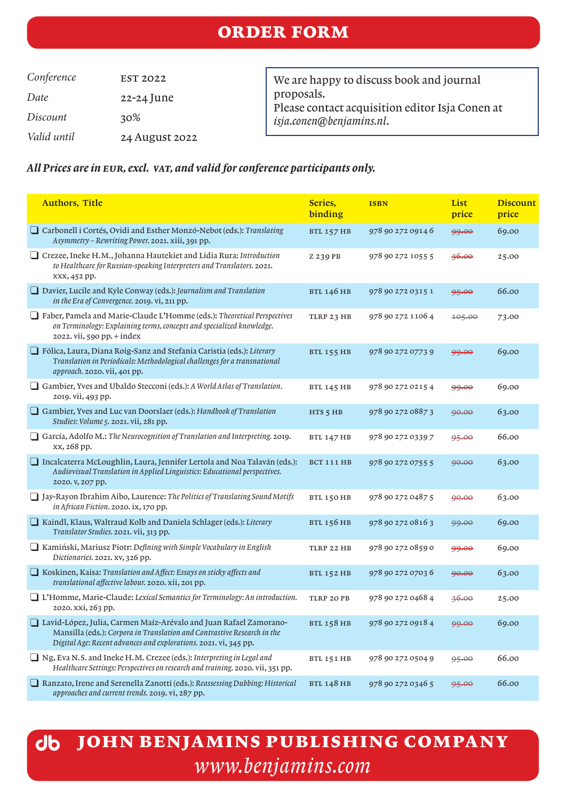## order form

*Conference* EST 2022 *Date* 22-24 June *Discount* 30% *Valid until* 24 August 2022 We are happy to discuss book and journal proposals. Please contact acquisition editor Isja Conen at *isja.conen@benjamins.nl*.

#### *All Prices are in eur, excl. vat, and valid for conference participants only.*

| <b>Authors, Title</b>                                                                                                                                                                                              | Series,<br>binding | <b>ISBN</b>       | List<br>price     | <b>Discount</b><br>price |
|--------------------------------------------------------------------------------------------------------------------------------------------------------------------------------------------------------------------|--------------------|-------------------|-------------------|--------------------------|
| Carbonell i Cortés, Ovidi and Esther Monzó-Nebot (eds.): Translating<br>Asymmetry - Rewriting Power. 2021. xiii, 391 pp.                                                                                           | <b>BTL 157 HB</b>  | 978 90 272 0914 6 | 99.00             | 69.00                    |
| Crezee, Ineke H.M., Johanna Hautekiet and Lidia Rura: Introduction<br>to Healthcare for Russian-speaking Interpreters and Translators. 2021.<br>xxx, 452 pp.                                                       | Z 239 PB           | 978 90 272 1055 5 | 36.00             | 25.00                    |
| $\Box$ Davier, Lucile and Kyle Conway (eds.): Journalism and Translation<br>in the Era of Convergence. 2019. vi, 211 pp.                                                                                           | <b>BTL 146 HB</b>  | 978 90 272 0315 1 | 95.00             | 66.00                    |
| Faber, Pamela and Marie-Claude L'Homme (eds.): Theoretical Perspectives<br>on Terminology: Explaining terms, concepts and specialized knowledge.<br>2022. vii, 590 pp. + index                                     | TLRP 23 HB         | 978 90 272 1106 4 | <del>105.00</del> | 73.00                    |
| Fólica, Laura, Diana Roig-Sanz and Stefania Caristia (eds.): Literary<br>Translation in Periodicals: Methodological challenges for a transnational<br>approach. 2020. vii, 401 pp.                                 | <b>BTL 155 HB</b>  | 978 90 272 0773 9 | 99.00             | 69.00                    |
| Gambier, Yves and Ubaldo Stecconi (eds.): A World Atlas of Translation.<br>2019. vii, 493 pp.                                                                                                                      | <b>BTL 145 HB</b>  | 978 90 272 0215 4 | 99.00             | 69.00                    |
| Gambier, Yves and Luc van Doorslaer (eds.): Handbook of Translation<br>Studies: Volume 5. 2021. vii, 281 pp.                                                                                                       | $HTS$ 5 HB         | 978 90 272 0887 3 | 90.00             | 63.00                    |
| García, Adolfo M.: The Neurocognition of Translation and Interpreting. 2019.<br>xx, 268 pp.                                                                                                                        | <b>BTL 147 HB</b>  | 978 90 272 0339 7 | 95.00             | 66.00                    |
| □ Incalcaterra McLoughlin, Laura, Jennifer Lertola and Noa Talaván (eds.):<br>Audiovisual Translation in Applied Linguistics: Educational perspectives.<br>2020. v, 207 pp.                                        | BCT 111 HB         | 978 90 272 0755 5 | 90.00             | 63.00                    |
| $\Box$ Jay-Rayon Ibrahim Aibo, Laurence: The Politics of Translating Sound Motifs<br>in African Fiction. 2020. ix, 170 pp.                                                                                         | <b>BTL 150 HB</b>  | 978 90 272 0487 5 | 90.00             | 63.00                    |
| Kaindl, Klaus, Waltraud Kolb and Daniela Schlager (eds.): Literary<br>Translator Studies. 2021. vii, 313 pp.                                                                                                       | <b>BTL 156 HB</b>  | 978 90 272 0816 3 | 99.00             | 69.00                    |
| □ Kamiński, Mariusz Piotr: Defining with Simple Vocabulary in English<br>Dictionaries. 2021. xv, 326 pp.                                                                                                           | TLRP 22 HB         | 978 90 272 0859 0 | 99.00             | 69.00                    |
| $\Box$ Koskinen, Kaisa: Translation and Affect: Essays on sticky affects and<br>translational affective labour. 2020. xii, 201 pp.                                                                                 | <b>BTL 152 HB</b>  | 978 90 272 0703 6 | 90.00             | 63.00                    |
| I L'Homme, Marie-Claude: Lexical Semantics for Terminology: An introduction.<br>2020. xxi, 263 pp.                                                                                                                 | TLRP 20 PB         | 978 90 272 0468 4 | 36.00             | 25.00                    |
| □ Lavid-López, Julia, Carmen Maíz-Arévalo and Juan Rafael Zamorano-<br>Mansilla (eds.): Corpora in Translation and Contrastive Research in the<br>Digital Age: Recent advances and explorations. 2021. vi, 345 pp. | <b>BTL 158 HB</b>  | 978 90 272 0918 4 | 99.00             | 69.00                    |
| □ Ng, Eva N.S. and Ineke H.M. Crezee (eds.): Interpreting in Legal and<br>Healthcare Settings: Perspectives on research and training. 2020. vii, 351 pp.                                                           | <b>BTL 151 HB</b>  | 978 90 272 0504 9 | 95.00             | 66.00                    |
| Ranzato, Irene and Serenella Zanotti (eds.): Reassessing Dubbing: Historical<br>approaches and current trends. 2019. vi, 287 pp.                                                                                   | <b>BTL 148 HB</b>  | 978 90 272 0346 5 | 95.00             | 66.00                    |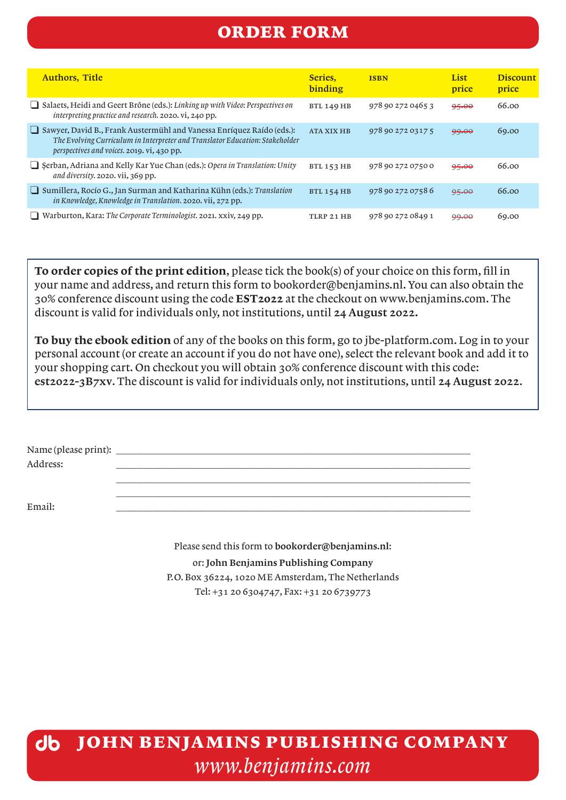## order form

| <b>Authors, Title</b>                                                                                                                                                                                      | Series.<br>binding | <b>ISBN</b>       | List<br>price | <b>Discount</b><br>price |
|------------------------------------------------------------------------------------------------------------------------------------------------------------------------------------------------------------|--------------------|-------------------|---------------|--------------------------|
| $\Box$ Salaets, Heidi and Geert Brône (eds.): Linking up with Video: Perspectives on<br><i>interpreting practice and research.</i> 2020. vi, 240 pp.                                                       | <b>BTL 149 HB</b>  | 978 90 272 0465 3 | 95.00         | 66.00                    |
| $\Box$ Sawyer, David B., Frank Austermühl and Vanessa Enríquez Raído (eds.):<br>The Evolving Curriculum in Interpreter and Translator Education: Stakeholder<br>perspectives and voices. 2019. vi, 430 pp. | <b>ATA XIX HB</b>  | 978 90 272 0317 5 | 99.00         | 69.00                    |
| Serban, Adriana and Kelly Kar Yue Chan (eds.): Opera in Translation: Unity<br>and diversity. 2020. vii, 369 pp.                                                                                            | <b>BTL 153 HB</b>  | 978 90 272 0750 0 | 95.00         | 66.00                    |
| Sumillera, Rocío G., Jan Surman and Katharina Kühn (eds.): Translation<br>in Knowledge, Knowledge in Translation. 2020. vii, 272 pp.                                                                       | <b>BTL 154 HB</b>  | 978 90 272 0758 6 | 95.00         | 66.00                    |
| Warburton, Kara: The Corporate Terminologist. 2021. xxiv, 249 pp.                                                                                                                                          | TLRP 21 HB         | 978 90 272 0849 1 | 99.00         | 69.00                    |

To order copies of the print edition, please tick the book(s) of your choice on this form, fill in your name and address, and return this form to bookorder@benjamins.nl. You can also obtain the 30% conference discount using the code EST2022 at the checkout on www.benjamins.com. The discount is valid for individuals only, not institutions, until 24 August 2022.

To buy the ebook edition of any of the books on this form, go to jbe-platform.com. Log in to your personal account (or create an account if you do not have one), select the relevant book and add it to your shopping cart. On checkout you will obtain 30% conference discount with this code: est2022-3B7xv. The discount is valid for individuals only, not institutions, until 24 August 2022.

| Name (please print): |  |  |
|----------------------|--|--|
| Address:             |  |  |
|                      |  |  |

 $\overline{\phantom{a}}$  ,  $\overline{\phantom{a}}$  ,  $\overline{\phantom{a}}$  ,  $\overline{\phantom{a}}$  ,  $\overline{\phantom{a}}$  ,  $\overline{\phantom{a}}$  ,  $\overline{\phantom{a}}$  ,  $\overline{\phantom{a}}$  ,  $\overline{\phantom{a}}$  ,  $\overline{\phantom{a}}$  ,  $\overline{\phantom{a}}$  ,  $\overline{\phantom{a}}$  ,  $\overline{\phantom{a}}$  ,  $\overline{\phantom{a}}$  ,  $\overline{\phantom{a}}$  ,  $\overline{\phantom{a}}$ 

Email: \_\_\_\_\_\_\_\_\_\_\_\_\_\_\_\_\_\_\_\_\_\_\_\_\_\_\_\_\_\_\_\_\_\_\_\_\_\_\_\_\_\_\_\_\_\_\_\_\_\_\_\_\_\_\_\_\_\_\_\_\_\_\_\_\_\_\_

Please send this form to bookorder@benjamins.nl: or: John Benjamins Publishing Company P.O. Box 36224, 1020 ME Amsterdam, The Netherlands Tel: +31 20 6304747, Fax: +31 20 6739773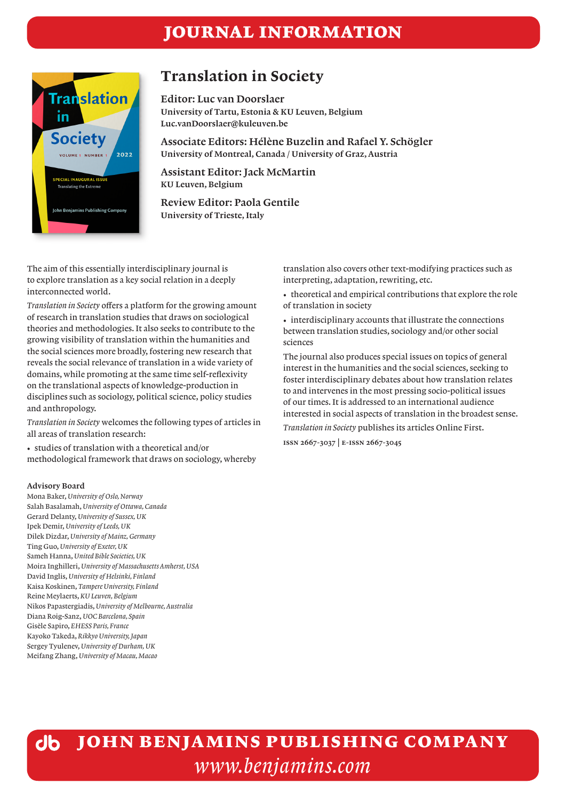## journal information



## Translation in Society

Editor: Luc van Doorslaer University of Tartu, Estonia & KU Leuven, Belgium Luc.vanDoorslaer@kuleuven.be

Associate Editors: Hélène Buzelin and Rafael Y. Schögler University of Montreal, Canada / University of Graz, Austria

Assistant Editor: Jack McMartin KU Leuven, Belgium

Review Editor: Paola Gentile University of Trieste, Italy

The aim of this essentially interdisciplinary journal is to explore translation as a key social relation in a deeply interconnected world.

*Translation in Society* offers a platform for the growing amount of research in translation studies that draws on sociological theories and methodologies. It also seeks to contribute to the growing visibility of translation within the humanities and the social sciences more broadly, fostering new research that reveals the social relevance of translation in a wide variety of domains, while promoting at the same time self-reflexivity on the translational aspects of knowledge-production in disciplines such as sociology, political science, policy studies and anthropology.

*Translation in Society* welcomes the following types of articles in all areas of translation research:

• studies of translation with a theoretical and/or methodological framework that draws on sociology, whereby

#### Advisory Board

Mona Baker, *University of Oslo, Norway* Salah Basalamah, *University of Ottawa, Canada* Gerard Delanty, *University of Sussex, UK* Ipek Demir, *University of Leeds, UK* Dilek Dizdar, *University of Mainz, Germany* Ting Guo, *University of Exeter, UK* Sameh Hanna, *United Bible Societies, UK* Moira Inghilleri, *University of Massachusetts Amherst, USA* David Inglis, *University of Helsinki, Finland* Kaisa Koskinen, *Tampere University, Finland* Reine Meylaerts, *KU Leuven, Belgium* Nikos Papastergiadis, *University of Melbourne, Australia* Diana Roig-Sanz, *UOC Barcelona, Spain* Gisèle Sapiro, *EHESS Paris, France* Kayoko Takeda, *Rikkyo University, Japan* Sergey Tyulenev, *University of Durham, UK* Meifang Zhang, *University of Macau, Macao*

translation also covers other text-modifying practices such as interpreting, adaptation, rewriting, etc.

• theoretical and empirical contributions that explore the role of translation in society

• interdisciplinary accounts that illustrate the connections between translation studies, sociology and/or other social sciences

The journal also produces special issues on topics of general interest in the humanities and the social sciences, seeking to foster interdisciplinary debates about how translation relates to and intervenes in the most pressing socio-political issues of our times. It is addressed to an international audience interested in social aspects of translation in the broadest sense.

*Translation in Society* publishes its articles Online First.

**issn 2667-3037 | e-issn 2667-3045**